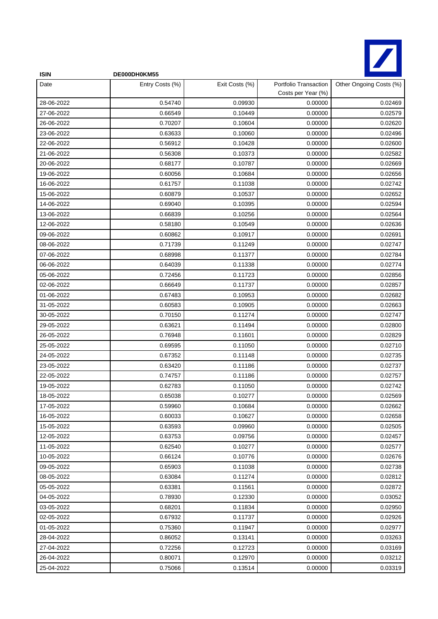

| <b>ISIN</b> | DE000DH0KM55    |                |                                             |                         |
|-------------|-----------------|----------------|---------------------------------------------|-------------------------|
| Date        | Entry Costs (%) | Exit Costs (%) | Portfolio Transaction<br>Costs per Year (%) | Other Ongoing Costs (%) |
| 28-06-2022  | 0.54740         | 0.09930        | 0.00000                                     | 0.02469                 |
| 27-06-2022  | 0.66549         | 0.10449        | 0.00000                                     | 0.02579                 |
| 26-06-2022  | 0.70207         | 0.10604        | 0.00000                                     | 0.02620                 |
| 23-06-2022  | 0.63633         | 0.10060        | 0.00000                                     | 0.02496                 |
| 22-06-2022  | 0.56912         | 0.10428        | 0.00000                                     | 0.02600                 |
| 21-06-2022  | 0.56308         | 0.10373        | 0.00000                                     | 0.02582                 |
| 20-06-2022  | 0.68177         | 0.10787        | 0.00000                                     | 0.02669                 |
| 19-06-2022  | 0.60056         | 0.10684        | 0.00000                                     | 0.02656                 |
| 16-06-2022  | 0.61757         | 0.11038        | 0.00000                                     | 0.02742                 |
| 15-06-2022  | 0.60879         | 0.10537        | 0.00000                                     | 0.02652                 |
| 14-06-2022  | 0.69040         | 0.10395        | 0.00000                                     | 0.02594                 |
| 13-06-2022  | 0.66839         | 0.10256        | 0.00000                                     | 0.02564                 |
| 12-06-2022  | 0.58180         | 0.10549        | 0.00000                                     | 0.02636                 |
| 09-06-2022  | 0.60862         | 0.10917        | 0.00000                                     | 0.02691                 |
| 08-06-2022  | 0.71739         | 0.11249        | 0.00000                                     | 0.02747                 |
| 07-06-2022  | 0.68998         | 0.11377        | 0.00000                                     | 0.02784                 |
| 06-06-2022  | 0.64039         | 0.11338        | 0.00000                                     | 0.02774                 |
| 05-06-2022  | 0.72456         | 0.11723        | 0.00000                                     | 0.02856                 |
| 02-06-2022  | 0.66649         | 0.11737        | 0.00000                                     | 0.02857                 |
| 01-06-2022  | 0.67483         | 0.10953        | 0.00000                                     | 0.02682                 |
| 31-05-2022  | 0.60583         | 0.10905        | 0.00000                                     | 0.02663                 |
| 30-05-2022  | 0.70150         | 0.11274        | 0.00000                                     | 0.02747                 |
| 29-05-2022  | 0.63621         | 0.11494        | 0.00000                                     | 0.02800                 |
| 26-05-2022  | 0.76948         | 0.11601        | 0.00000                                     | 0.02829                 |
| 25-05-2022  | 0.69595         | 0.11050        | 0.00000                                     | 0.02710                 |
| 24-05-2022  | 0.67352         | 0.11148        | 0.00000                                     | 0.02735                 |
| 23-05-2022  | 0.63420         | 0.11186        | 0.00000                                     | 0.02737                 |
| 22-05-2022  | 0.74757         | 0.11186        | 0.00000                                     | 0.02757                 |
| 19-05-2022  | 0.62783         | 0.11050        | 0.00000                                     | 0.02742                 |
| 18-05-2022  | 0.65038         | 0.10277        | 0.00000                                     | 0.02569                 |
| 17-05-2022  | 0.59960         | 0.10684        | 0.00000                                     | 0.02662                 |
| 16-05-2022  | 0.60033         | 0.10627        | 0.00000                                     | 0.02658                 |
| 15-05-2022  | 0.63593         | 0.09960        | 0.00000                                     | 0.02505                 |
| 12-05-2022  | 0.63753         | 0.09756        | 0.00000                                     | 0.02457                 |
| 11-05-2022  | 0.62540         | 0.10277        | 0.00000                                     | 0.02577                 |
| 10-05-2022  | 0.66124         | 0.10776        | 0.00000                                     | 0.02676                 |
| 09-05-2022  | 0.65903         | 0.11038        | 0.00000                                     | 0.02738                 |
| 08-05-2022  | 0.63084         | 0.11274        | 0.00000                                     | 0.02812                 |
| 05-05-2022  | 0.63381         | 0.11561        | 0.00000                                     | 0.02872                 |
| 04-05-2022  | 0.78930         | 0.12330        | 0.00000                                     | 0.03052                 |
| 03-05-2022  | 0.68201         | 0.11834        | 0.00000                                     | 0.02950                 |
| 02-05-2022  | 0.67932         | 0.11737        | 0.00000                                     | 0.02926                 |
| 01-05-2022  | 0.75360         | 0.11947        | 0.00000                                     | 0.02977                 |
| 28-04-2022  | 0.86052         | 0.13141        | 0.00000                                     | 0.03263                 |
| 27-04-2022  | 0.72256         | 0.12723        | 0.00000                                     | 0.03169                 |
| 26-04-2022  | 0.80071         | 0.12970        | 0.00000                                     | 0.03212                 |
| 25-04-2022  | 0.75066         | 0.13514        | 0.00000                                     | 0.03319                 |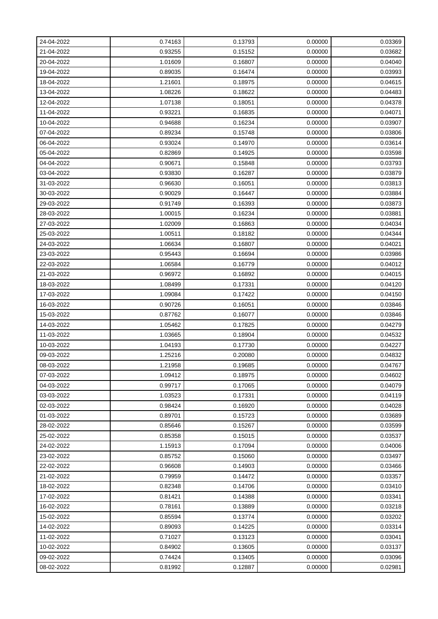| 24-04-2022 | 0.74163 | 0.13793 | 0.00000 | 0.03369 |
|------------|---------|---------|---------|---------|
| 21-04-2022 | 0.93255 | 0.15152 | 0.00000 | 0.03682 |
| 20-04-2022 | 1.01609 | 0.16807 | 0.00000 | 0.04040 |
| 19-04-2022 | 0.89035 | 0.16474 | 0.00000 | 0.03993 |
| 18-04-2022 | 1.21601 | 0.18975 | 0.00000 | 0.04615 |
| 13-04-2022 | 1.08226 | 0.18622 | 0.00000 | 0.04483 |
| 12-04-2022 | 1.07138 | 0.18051 | 0.00000 | 0.04378 |
| 11-04-2022 | 0.93221 | 0.16835 | 0.00000 | 0.04071 |
| 10-04-2022 | 0.94688 | 0.16234 | 0.00000 | 0.03907 |
| 07-04-2022 | 0.89234 | 0.15748 | 0.00000 | 0.03806 |
| 06-04-2022 | 0.93024 | 0.14970 | 0.00000 | 0.03614 |
| 05-04-2022 | 0.82869 | 0.14925 | 0.00000 | 0.03598 |
| 04-04-2022 | 0.90671 | 0.15848 | 0.00000 | 0.03793 |
| 03-04-2022 | 0.93830 | 0.16287 | 0.00000 | 0.03879 |
| 31-03-2022 | 0.96630 | 0.16051 | 0.00000 | 0.03813 |
| 30-03-2022 | 0.90029 | 0.16447 | 0.00000 | 0.03884 |
| 29-03-2022 | 0.91749 | 0.16393 | 0.00000 | 0.03873 |
| 28-03-2022 | 1.00015 | 0.16234 | 0.00000 | 0.03881 |
| 27-03-2022 | 1.02009 | 0.16863 | 0.00000 | 0.04034 |
| 25-03-2022 | 1.00511 | 0.18182 | 0.00000 | 0.04344 |
| 24-03-2022 | 1.06634 | 0.16807 | 0.00000 | 0.04021 |
| 23-03-2022 | 0.95443 | 0.16694 | 0.00000 | 0.03986 |
| 22-03-2022 | 1.06584 | 0.16779 | 0.00000 | 0.04012 |
| 21-03-2022 | 0.96972 | 0.16892 | 0.00000 | 0.04015 |
| 18-03-2022 | 1.08499 | 0.17331 | 0.00000 | 0.04120 |
| 17-03-2022 | 1.09084 | 0.17422 | 0.00000 | 0.04150 |
| 16-03-2022 | 0.90726 | 0.16051 | 0.00000 | 0.03846 |
| 15-03-2022 | 0.87762 | 0.16077 | 0.00000 | 0.03846 |
| 14-03-2022 | 1.05462 | 0.17825 | 0.00000 | 0.04279 |
| 11-03-2022 | 1.03665 | 0.18904 | 0.00000 | 0.04532 |
| 10-03-2022 | 1.04193 | 0.17730 | 0.00000 | 0.04227 |
| 09-03-2022 | 1.25216 | 0.20080 | 0.00000 | 0.04832 |
| 08-03-2022 | 1.21958 | 0.19685 | 0.00000 | 0.04767 |
| 07-03-2022 | 1.09412 | 0.18975 | 0.00000 | 0.04602 |
| 04-03-2022 | 0.99717 | 0.17065 | 0.00000 | 0.04079 |
| 03-03-2022 | 1.03523 | 0.17331 | 0.00000 | 0.04119 |
| 02-03-2022 | 0.98424 | 0.16920 | 0.00000 | 0.04028 |
| 01-03-2022 | 0.89701 | 0.15723 | 0.00000 | 0.03689 |
| 28-02-2022 | 0.85646 | 0.15267 | 0.00000 | 0.03599 |
| 25-02-2022 | 0.85358 | 0.15015 | 0.00000 | 0.03537 |
| 24-02-2022 | 1.15913 | 0.17094 | 0.00000 | 0.04006 |
| 23-02-2022 | 0.85752 | 0.15060 | 0.00000 | 0.03497 |
| 22-02-2022 | 0.96608 | 0.14903 | 0.00000 | 0.03466 |
| 21-02-2022 | 0.79959 | 0.14472 | 0.00000 | 0.03357 |
| 18-02-2022 | 0.82348 | 0.14706 | 0.00000 | 0.03410 |
| 17-02-2022 | 0.81421 | 0.14388 | 0.00000 | 0.03341 |
| 16-02-2022 | 0.78161 | 0.13889 | 0.00000 | 0.03218 |
| 15-02-2022 | 0.85594 | 0.13774 | 0.00000 | 0.03202 |
| 14-02-2022 | 0.89093 | 0.14225 | 0.00000 | 0.03314 |
| 11-02-2022 | 0.71027 | 0.13123 | 0.00000 | 0.03041 |
| 10-02-2022 | 0.84902 | 0.13605 | 0.00000 | 0.03137 |
| 09-02-2022 | 0.74424 | 0.13405 | 0.00000 | 0.03096 |
| 08-02-2022 | 0.81992 | 0.12887 | 0.00000 | 0.02981 |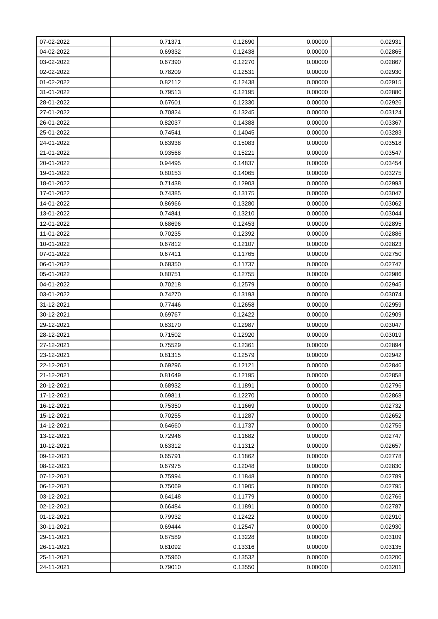| 07-02-2022 | 0.71371 | 0.12690 | 0.00000 | 0.02931 |
|------------|---------|---------|---------|---------|
| 04-02-2022 | 0.69332 | 0.12438 | 0.00000 | 0.02865 |
| 03-02-2022 | 0.67390 | 0.12270 | 0.00000 | 0.02867 |
| 02-02-2022 | 0.78209 | 0.12531 | 0.00000 | 0.02930 |
| 01-02-2022 | 0.82112 | 0.12438 | 0.00000 | 0.02915 |
| 31-01-2022 | 0.79513 | 0.12195 | 0.00000 | 0.02880 |
| 28-01-2022 | 0.67601 | 0.12330 | 0.00000 | 0.02926 |
| 27-01-2022 | 0.70824 | 0.13245 | 0.00000 | 0.03124 |
| 26-01-2022 | 0.82037 | 0.14388 | 0.00000 | 0.03367 |
| 25-01-2022 | 0.74541 | 0.14045 | 0.00000 | 0.03283 |
| 24-01-2022 | 0.83938 | 0.15083 | 0.00000 | 0.03518 |
| 21-01-2022 | 0.93568 | 0.15221 | 0.00000 | 0.03547 |
| 20-01-2022 | 0.94495 | 0.14837 | 0.00000 | 0.03454 |
| 19-01-2022 | 0.80153 | 0.14065 | 0.00000 | 0.03275 |
| 18-01-2022 | 0.71438 | 0.12903 | 0.00000 | 0.02993 |
| 17-01-2022 | 0.74385 | 0.13175 | 0.00000 | 0.03047 |
| 14-01-2022 | 0.86966 | 0.13280 | 0.00000 | 0.03062 |
| 13-01-2022 | 0.74841 | 0.13210 | 0.00000 | 0.03044 |
| 12-01-2022 | 0.68696 | 0.12453 | 0.00000 | 0.02895 |
| 11-01-2022 | 0.70235 | 0.12392 | 0.00000 | 0.02886 |
| 10-01-2022 | 0.67812 | 0.12107 | 0.00000 | 0.02823 |
| 07-01-2022 | 0.67411 | 0.11765 | 0.00000 | 0.02750 |
| 06-01-2022 | 0.68350 | 0.11737 | 0.00000 | 0.02747 |
| 05-01-2022 | 0.80751 | 0.12755 | 0.00000 | 0.02986 |
| 04-01-2022 | 0.70218 | 0.12579 | 0.00000 | 0.02945 |
| 03-01-2022 | 0.74270 | 0.13193 | 0.00000 | 0.03074 |
| 31-12-2021 | 0.77446 | 0.12658 | 0.00000 | 0.02959 |
| 30-12-2021 | 0.69767 | 0.12422 | 0.00000 | 0.02909 |
| 29-12-2021 | 0.83170 | 0.12987 | 0.00000 | 0.03047 |
| 28-12-2021 | 0.71502 | 0.12920 | 0.00000 | 0.03019 |
| 27-12-2021 | 0.75529 | 0.12361 | 0.00000 | 0.02894 |
| 23-12-2021 | 0.81315 | 0.12579 | 0.00000 | 0.02942 |
| 22-12-2021 | 0.69296 | 0.12121 | 0.00000 | 0.02846 |
| 21-12-2021 | 0.81649 | 0.12195 | 0.00000 | 0.02858 |
| 20-12-2021 | 0.68932 | 0.11891 | 0.00000 | 0.02796 |
| 17-12-2021 | 0.69811 | 0.12270 | 0.00000 | 0.02868 |
| 16-12-2021 | 0.75350 | 0.11669 | 0.00000 | 0.02732 |
| 15-12-2021 | 0.70255 | 0.11287 | 0.00000 | 0.02652 |
| 14-12-2021 | 0.64660 | 0.11737 | 0.00000 | 0.02755 |
| 13-12-2021 | 0.72946 | 0.11682 | 0.00000 | 0.02747 |
| 10-12-2021 | 0.63312 | 0.11312 | 0.00000 | 0.02657 |
| 09-12-2021 | 0.65791 | 0.11862 | 0.00000 | 0.02778 |
| 08-12-2021 | 0.67975 | 0.12048 | 0.00000 | 0.02830 |
| 07-12-2021 | 0.75994 | 0.11848 | 0.00000 | 0.02789 |
| 06-12-2021 | 0.75069 | 0.11905 | 0.00000 | 0.02795 |
| 03-12-2021 | 0.64148 | 0.11779 | 0.00000 | 0.02766 |
| 02-12-2021 | 0.66484 | 0.11891 | 0.00000 | 0.02787 |
| 01-12-2021 | 0.79932 | 0.12422 | 0.00000 | 0.02910 |
| 30-11-2021 | 0.69444 | 0.12547 | 0.00000 | 0.02930 |
| 29-11-2021 | 0.87589 | 0.13228 | 0.00000 | 0.03109 |
| 26-11-2021 | 0.81092 | 0.13316 | 0.00000 | 0.03135 |
| 25-11-2021 | 0.75960 | 0.13532 | 0.00000 | 0.03200 |
| 24-11-2021 | 0.79010 | 0.13550 | 0.00000 | 0.03201 |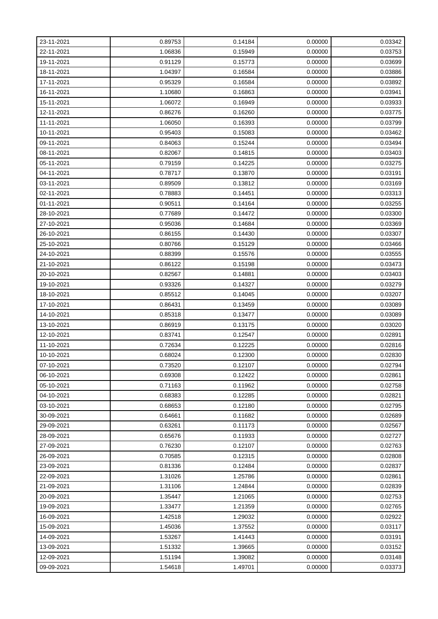| 23-11-2021 | 0.89753 | 0.14184 | 0.00000 | 0.03342 |
|------------|---------|---------|---------|---------|
| 22-11-2021 | 1.06836 | 0.15949 | 0.00000 | 0.03753 |
| 19-11-2021 | 0.91129 | 0.15773 | 0.00000 | 0.03699 |
| 18-11-2021 | 1.04397 | 0.16584 | 0.00000 | 0.03886 |
| 17-11-2021 | 0.95329 | 0.16584 | 0.00000 | 0.03892 |
| 16-11-2021 | 1.10680 | 0.16863 | 0.00000 | 0.03941 |
| 15-11-2021 | 1.06072 | 0.16949 | 0.00000 | 0.03933 |
| 12-11-2021 | 0.86276 | 0.16260 | 0.00000 | 0.03775 |
| 11-11-2021 | 1.06050 | 0.16393 | 0.00000 | 0.03799 |
| 10-11-2021 | 0.95403 | 0.15083 | 0.00000 | 0.03462 |
| 09-11-2021 | 0.84063 | 0.15244 | 0.00000 | 0.03494 |
| 08-11-2021 | 0.82067 | 0.14815 | 0.00000 | 0.03403 |
| 05-11-2021 | 0.79159 | 0.14225 | 0.00000 | 0.03275 |
| 04-11-2021 | 0.78717 | 0.13870 | 0.00000 | 0.03191 |
| 03-11-2021 | 0.89509 | 0.13812 | 0.00000 | 0.03169 |
| 02-11-2021 | 0.78883 | 0.14451 | 0.00000 | 0.03313 |
| 01-11-2021 | 0.90511 | 0.14164 | 0.00000 | 0.03255 |
| 28-10-2021 | 0.77689 | 0.14472 | 0.00000 | 0.03300 |
| 27-10-2021 | 0.95036 | 0.14684 | 0.00000 | 0.03369 |
| 26-10-2021 | 0.86155 | 0.14430 | 0.00000 | 0.03307 |
| 25-10-2021 | 0.80766 | 0.15129 | 0.00000 | 0.03466 |
| 24-10-2021 | 0.88399 | 0.15576 | 0.00000 | 0.03555 |
| 21-10-2021 | 0.86122 | 0.15198 | 0.00000 | 0.03473 |
| 20-10-2021 | 0.82567 | 0.14881 | 0.00000 | 0.03403 |
| 19-10-2021 | 0.93326 | 0.14327 | 0.00000 | 0.03279 |
| 18-10-2021 | 0.85512 | 0.14045 | 0.00000 | 0.03207 |
| 17-10-2021 | 0.86431 | 0.13459 | 0.00000 | 0.03089 |
| 14-10-2021 | 0.85318 | 0.13477 | 0.00000 | 0.03089 |
| 13-10-2021 | 0.86919 | 0.13175 | 0.00000 | 0.03020 |
| 12-10-2021 | 0.83741 | 0.12547 | 0.00000 | 0.02891 |
| 11-10-2021 | 0.72634 | 0.12225 | 0.00000 | 0.02816 |
| 10-10-2021 | 0.68024 | 0.12300 | 0.00000 | 0.02830 |
| 07-10-2021 | 0.73520 | 0.12107 | 0.00000 | 0.02794 |
| 06-10-2021 | 0.69308 | 0.12422 | 0.00000 | 0.02861 |
| 05-10-2021 | 0.71163 | 0.11962 | 0.00000 | 0.02758 |
| 04-10-2021 | 0.68383 | 0.12285 | 0.00000 | 0.02821 |
| 03-10-2021 | 0.68653 | 0.12180 | 0.00000 | 0.02795 |
| 30-09-2021 | 0.64661 | 0.11682 | 0.00000 | 0.02689 |
| 29-09-2021 | 0.63261 | 0.11173 | 0.00000 | 0.02567 |
| 28-09-2021 | 0.65676 | 0.11933 | 0.00000 | 0.02727 |
| 27-09-2021 | 0.76230 | 0.12107 | 0.00000 | 0.02763 |
| 26-09-2021 | 0.70585 | 0.12315 | 0.00000 | 0.02808 |
| 23-09-2021 | 0.81336 | 0.12484 | 0.00000 | 0.02837 |
| 22-09-2021 | 1.31026 | 1.25786 | 0.00000 | 0.02861 |
| 21-09-2021 | 1.31106 | 1.24844 | 0.00000 | 0.02839 |
| 20-09-2021 | 1.35447 | 1.21065 | 0.00000 | 0.02753 |
| 19-09-2021 | 1.33477 | 1.21359 | 0.00000 | 0.02765 |
| 16-09-2021 | 1.42518 | 1.29032 | 0.00000 | 0.02922 |
| 15-09-2021 | 1.45036 | 1.37552 | 0.00000 | 0.03117 |
| 14-09-2021 | 1.53267 | 1.41443 | 0.00000 | 0.03191 |
| 13-09-2021 | 1.51332 | 1.39665 | 0.00000 | 0.03152 |
| 12-09-2021 | 1.51194 | 1.39082 | 0.00000 | 0.03148 |
| 09-09-2021 | 1.54618 | 1.49701 | 0.00000 | 0.03373 |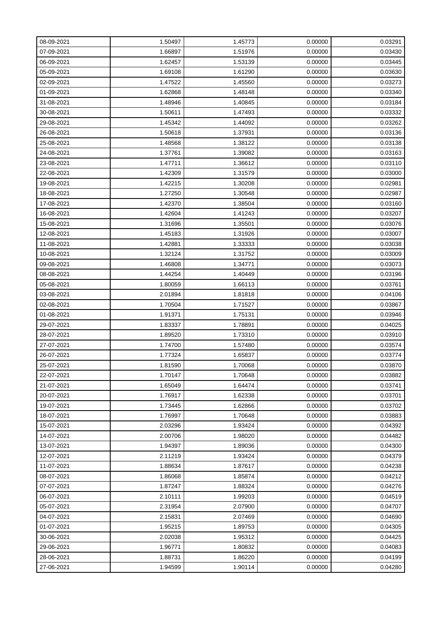| 08-09-2021 | 1.50497 | 1.45773 | 0.00000 | 0.03291 |
|------------|---------|---------|---------|---------|
| 07-09-2021 | 1.66897 | 1.51976 | 0.00000 | 0.03430 |
| 06-09-2021 | 1.62457 | 1.53139 | 0.00000 | 0.03445 |
| 05-09-2021 | 1.69108 | 1.61290 | 0.00000 | 0.03630 |
| 02-09-2021 | 1.47522 | 1.45560 | 0.00000 | 0.03273 |
| 01-09-2021 | 1.62868 | 1.48148 | 0.00000 | 0.03340 |
| 31-08-2021 | 1.48946 | 1.40845 | 0.00000 | 0.03184 |
| 30-08-2021 | 1.50611 | 1.47493 | 0.00000 | 0.03332 |
| 29-08-2021 | 1.45342 | 1.44092 | 0.00000 | 0.03262 |
| 26-08-2021 | 1.50618 | 1.37931 | 0.00000 | 0.03136 |
| 25-08-2021 | 1.48568 | 1.38122 | 0.00000 | 0.03138 |
| 24-08-2021 | 1.37761 | 1.39082 | 0.00000 | 0.03163 |
| 23-08-2021 | 1.47711 | 1.36612 | 0.00000 | 0.03110 |
| 22-08-2021 | 1.42309 | 1.31579 | 0.00000 | 0.03000 |
| 19-08-2021 | 1.42215 | 1.30208 | 0.00000 | 0.02981 |
| 18-08-2021 | 1.27250 | 1.30548 | 0.00000 | 0.02987 |
| 17-08-2021 | 1.42370 | 1.38504 | 0.00000 | 0.03160 |
| 16-08-2021 | 1.42604 | 1.41243 | 0.00000 | 0.03207 |
| 15-08-2021 | 1.31696 | 1.35501 | 0.00000 | 0.03076 |
| 12-08-2021 | 1.45183 | 1.31926 | 0.00000 | 0.03007 |
| 11-08-2021 | 1.42881 | 1.33333 | 0.00000 | 0.03038 |
| 10-08-2021 | 1.32124 | 1.31752 | 0.00000 | 0.03009 |
| 09-08-2021 | 1.46808 | 1.34771 | 0.00000 | 0.03073 |
| 08-08-2021 | 1.44254 | 1.40449 | 0.00000 | 0.03196 |
| 05-08-2021 | 1.80059 | 1.66113 | 0.00000 | 0.03761 |
| 03-08-2021 | 2.01894 | 1.81818 | 0.00000 | 0.04106 |
| 02-08-2021 | 1.70504 | 1.71527 | 0.00000 | 0.03867 |
| 01-08-2021 | 1.91371 | 1.75131 | 0.00000 | 0.03946 |
| 29-07-2021 | 1.83337 | 1.78891 | 0.00000 | 0.04025 |
| 28-07-2021 | 1.89520 | 1.73310 | 0.00000 | 0.03910 |
| 27-07-2021 | 1.74700 | 1.57480 | 0.00000 | 0.03574 |
| 26-07-2021 | 1.77324 | 1.65837 | 0.00000 | 0.03774 |
| 25-07-2021 | 1.81590 | 1.70068 | 0.00000 | 0.03870 |
| 22-07-2021 | 1.70147 | 1.70648 | 0.00000 | 0.03882 |
| 21-07-2021 | 1.65049 | 1.64474 | 0.00000 | 0.03741 |
| 20-07-2021 | 1.76917 | 1.62338 | 0.00000 | 0.03701 |
| 19-07-2021 | 1.73445 | 1.62866 | 0.00000 | 0.03702 |
| 18-07-2021 | 1.76997 | 1.70648 | 0.00000 | 0.03883 |
| 15-07-2021 | 2.03296 | 1.93424 | 0.00000 | 0.04392 |
| 14-07-2021 | 2.00706 | 1.98020 | 0.00000 | 0.04482 |
| 13-07-2021 | 1.94397 | 1.89036 | 0.00000 | 0.04300 |
| 12-07-2021 | 2.11219 | 1.93424 | 0.00000 | 0.04379 |
| 11-07-2021 | 1.88634 | 1.87617 | 0.00000 | 0.04238 |
| 08-07-2021 | 1.86068 | 1.85874 | 0.00000 | 0.04212 |
| 07-07-2021 | 1.87247 | 1.88324 | 0.00000 | 0.04276 |
| 06-07-2021 | 2.10111 | 1.99203 | 0.00000 | 0.04519 |
| 05-07-2021 | 2.31954 | 2.07900 | 0.00000 | 0.04707 |
| 04-07-2021 | 2.15831 | 2.07469 | 0.00000 | 0.04690 |
| 01-07-2021 | 1.95215 | 1.89753 | 0.00000 | 0.04305 |
| 30-06-2021 | 2.02038 | 1.95312 | 0.00000 | 0.04425 |
| 29-06-2021 | 1.96771 | 1.80832 | 0.00000 | 0.04083 |
| 28-06-2021 | 1.88731 | 1.86220 | 0.00000 | 0.04199 |
| 27-06-2021 | 1.94599 | 1.90114 | 0.00000 | 0.04280 |